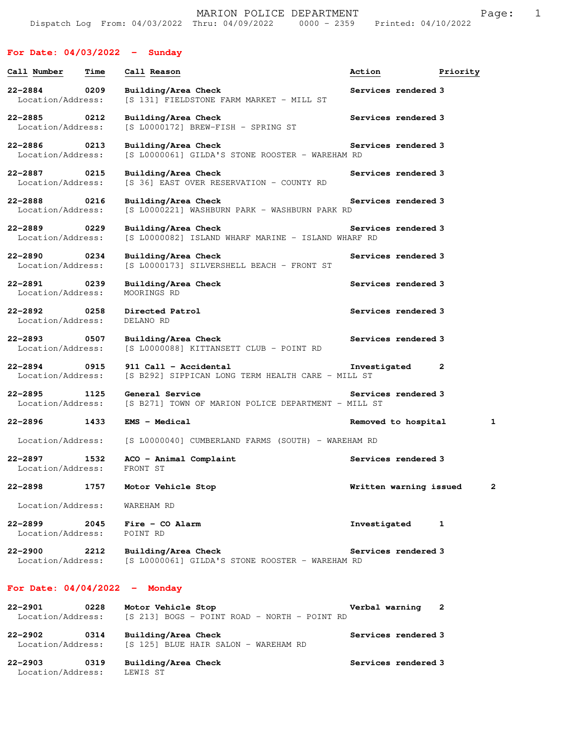## **For Date: 04/03/2022 - Sunday**

| Call Number                       | Time | Call Reason                                                                              | Action                 | Priority     |
|-----------------------------------|------|------------------------------------------------------------------------------------------|------------------------|--------------|
| $22 - 2884$<br>Location/Address:  | 0209 | Building/Area Check<br>[S 131] FIELDSTONE FARM MARKET - MILL ST                          | Services rendered 3    |              |
| $22 - 2885$<br>Location/Address:  | 0212 | Building/Area Check<br>[S L0000172] BREW-FISH - SPRING ST                                | Services rendered 3    |              |
| 22-2886 0213<br>Location/Address: |      | Building/Area Check<br>[S L0000061] GILDA'S STONE ROOSTER - WAREHAM RD                   | Services rendered 3    |              |
| 22-2887 0215<br>Location/Address: |      | Building/Area Check<br>[S 36] EAST OVER RESERVATION - COUNTY RD                          | Services rendered 3    |              |
| 22-2888 0216<br>Location/Address: |      | Building/Area Check<br>[S L0000221] WASHBURN PARK - WASHBURN PARK RD                     | Services rendered 3    |              |
| 22-2889 0229<br>Location/Address: |      | Building/Area Check<br>[S L0000082] ISLAND WHARF MARINE - ISLAND WHARF RD                | Services rendered 3    |              |
| 22-2890 0234<br>Location/Address: |      | Building/Area Check<br>[S L0000173] SILVERSHELL BEACH - FRONT ST                         | Services rendered 3    |              |
| 22-2891 0239<br>Location/Address: |      | Building/Area Check<br>MOORINGS RD                                                       | Services rendered 3    |              |
| 22-2892 0258<br>Location/Address: |      | Directed Patrol<br>DELANO RD                                                             | Services rendered 3    |              |
| 22-2893 0507<br>Location/Address: |      | Building/Area Check<br>[S L0000088] KITTANSETT CLUB - POINT RD                           | Services rendered 3    |              |
| 22-2894 0915<br>Location/Address: |      | 911 Call - Accidental<br>[S B292] SIPPICAN LONG TERM HEALTH CARE - MILL ST               | Investigated           | $\mathbf{2}$ |
| $22 - 2895$<br>Location/Address:  | 1125 | General Service<br>[S B271] TOWN OF MARION POLICE DEPARTMENT - MILL ST                   | Services rendered 3    |              |
| 22–2896 — 100                     | 1433 | <b>EMS - Medical</b>                                                                     | Removed to hospital    | 1            |
| Location/Address:                 |      | [S L0000040] CUMBERLAND FARMS (SOUTH) - WAREHAM RD                                       |                        |              |
| 22-2897 1532<br>Location/Address: |      | ACO - Animal Complaint<br>FRONT ST                                                       | Services rendered 3    |              |
|                                   |      | 22-2898 1757 Motor Vehicle Stop                                                          | Written warning issued |              |
| Location/Address: WAREHAM RD      |      |                                                                                          |                        |              |
| $22 - 2899$<br>Location/Address:  |      | 2045 Fire - CO Alarm<br>POINT RD                                                         | Investigated           | 1            |
| $22 - 2900$                       | 2212 | Building/Area Check<br>Location/Address: [S L0000061] GILDA'S STONE ROOSTER - WAREHAM RD | Services rendered 3    |              |
| For Date: $04/04/2022 -$ Monday   |      |                                                                                          |                        |              |
| 22-2901                           | 0228 | Motor Vehicle Stop                                                                       | Verbal warning 2       |              |

 Location/Address: [S 213] BOGS - POINT ROAD - NORTH - POINT RD **22-2902 0314 Building/Area Check Services rendered 3**  Location/Address: [S 125] BLUE HAIR SALON - WAREHAM RD

**22-2903 0319 Building/Area Check Services rendered 3**  Location/Address: LEWIS ST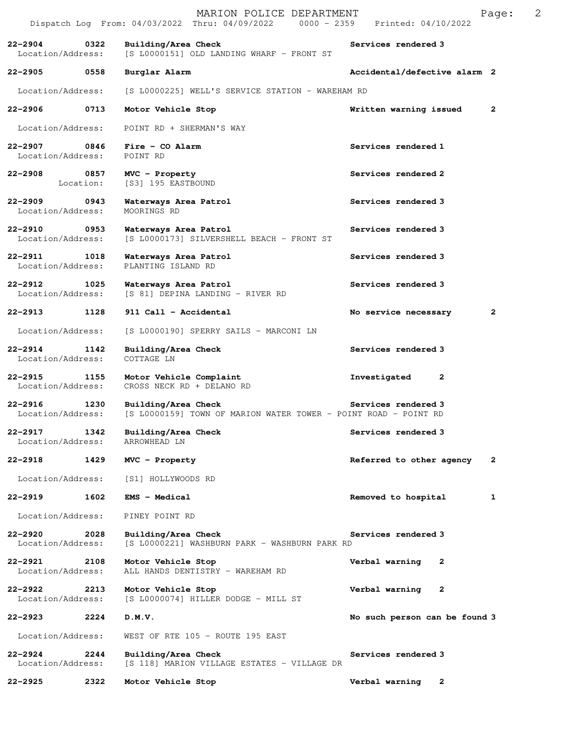|                                      |                   | MARION POLICE DEPARTMENT<br>Dispatch Log From: 04/03/2022 Thru: 04/09/2022 0000 - 2359 Printed: 04/10/2022 |                                | 2<br>Page:   |
|--------------------------------------|-------------------|------------------------------------------------------------------------------------------------------------|--------------------------------|--------------|
| $22 - 2904$<br>Location/Address:     | 0322              | Building/Area Check<br>[S L0000151] OLD LANDING WHARF - FRONT ST                                           | Services rendered 3            |              |
| 22-2905                              | 0558              | Burglar Alarm                                                                                              | Accidental/defective alarm 2   |              |
| Location/Address:                    |                   | [S L0000225] WELL'S SERVICE STATION - WAREHAM RD                                                           |                                |              |
| $22 - 2906$                          | 0713              | Motor Vehicle Stop                                                                                         | Written warning issued         | $\mathbf{2}$ |
| Location/Address:                    |                   | POINT RD + SHERMAN'S WAY                                                                                   |                                |              |
| 22-2907 0846<br>Location/Address:    |                   | $Fire - CO$ Alarm<br>POINT RD                                                                              | Services rendered 1            |              |
| $22 - 2908$                          | 0857<br>Location: | MVC - Property<br>[S3] 195 EASTBOUND                                                                       | Services rendered 2            |              |
| $22 - 2909$<br>Location/Address:     | 0943              | Waterways Area Patrol<br>MOORINGS RD                                                                       | Services rendered 3            |              |
| $22 - 2910$<br>Location/Address:     | 0953              | Waterways Area Patrol<br>[S L0000173] SILVERSHELL BEACH - FRONT ST                                         | Services rendered 3            |              |
| $22 - 2911$<br>Location/Address:     | 1018              | Waterways Area Patrol<br>PLANTING ISLAND RD                                                                | Services rendered 3            |              |
| $22 - 2912$<br>Location/Address:     | 1025              | Waterways Area Patrol<br>[S 81] DEPINA LANDING - RIVER RD                                                  | Services rendered 3            |              |
| $22 - 2913$                          | 1128              | 911 Call - Accidental                                                                                      | No service necessary           | $\mathbf{2}$ |
| Location/Address:                    |                   | [S L0000190] SPERRY SAILS - MARCONI LN                                                                     |                                |              |
| 22-2914<br>1142<br>Location/Address: |                   | Building/Area Check<br>COTTAGE LN                                                                          | Services rendered 3            |              |
| $22 - 2915$<br>Location/Address:     | 1155              | Motor Vehicle Complaint<br>CROSS NECK RD + DELANO RD                                                       | Investigated<br>2              |              |
| $22 - 2916$<br>Location/Address:     | 1230              | Building/Area Check<br>[S L0000159] TOWN OF MARION WATER TOWER - POINT ROAD - POINT RD                     | Services rendered 3            |              |
| $22 - 2917$<br>Location/Address:     | 1342              | Building/Area Check<br>ARROWHEAD LN                                                                        | Services rendered 3            |              |
| $22 - 2918$                          | 1429              | MVC - Property                                                                                             | Referred to other agency       | 2            |
| Location/Address:                    |                   | [S1] HOLLYWOODS RD                                                                                         |                                |              |
| $22 - 2919$                          | 1602              | EMS - Medical                                                                                              | Removed to hospital            | 1            |
| Location/Address:                    |                   | PINEY POINT RD                                                                                             |                                |              |
| $22 - 2920$<br>Location/Address:     | 2028              | Building/Area Check<br>[S L0000221] WASHBURN PARK - WASHBURN PARK RD                                       | Services rendered 3            |              |
| $22 - 2921$<br>Location/Address:     | 2108              | Motor Vehicle Stop<br>ALL HANDS DENTISTRY - WAREHAM RD                                                     | Verbal warning<br>$\mathbf{2}$ |              |
| $22 - 2922$<br>Location/Address:     | 2213              | Motor Vehicle Stop<br>[S L0000074] HILLER DODGE - MILL ST                                                  | Verbal warning<br>2            |              |
| 22-2923                              | 2224              | D.M.V.                                                                                                     | No such person can be found 3  |              |
| Location/Address:                    |                   | WEST OF RTE 105 - ROUTE 195 EAST                                                                           |                                |              |
| $22 - 2924$<br>Location/Address:     | 2244              | Building/Area Check<br>[S 118] MARION VILLAGE ESTATES - VILLAGE DR                                         | Services rendered 3            |              |
| 22-2925                              | 2322              | Motor Vehicle Stop                                                                                         | Verbal warning<br>$\mathbf{2}$ |              |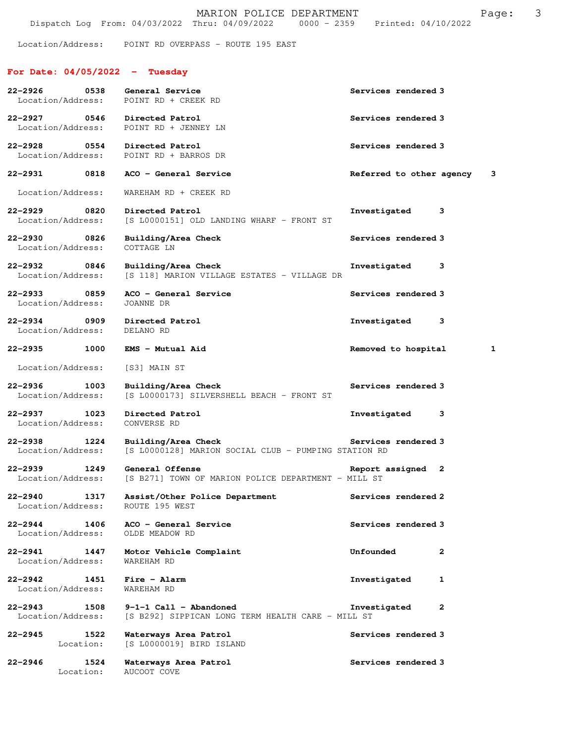Location/Address: POINT RD OVERPASS - ROUTE 195 EAST

## **For Date: 04/05/2022 - Tuesday**

| 22-2926 0538                                      | General Service<br>Location/Address: POINT RD + CREEK RD                      | Services rendered 3       |              |
|---------------------------------------------------|-------------------------------------------------------------------------------|---------------------------|--------------|
| 22-2927 0546 Directed Patrol<br>Location/Address: | POINT RD + JENNEY LN                                                          | Services rendered 3       |              |
| 22-2928                                           | 0554 Directed Patrol<br>Location/Address: POINT RD + BARROS DR                | Services rendered 3       |              |
| 22-2931 0818                                      | ACO - General Service                                                         | Referred to other agency  | 3            |
| Location/Address:                                 | WAREHAM RD + CREEK RD                                                         |                           |              |
| 22-2929<br>0820<br>Location/Address:              | Directed Patrol<br>[S L0000151] OLD LANDING WHARF - FRONT ST                  | Investigated<br>3         |              |
| $22 - 2930$<br>0826<br>Location/Address:          | Building/Area Check<br>COTTAGE LN                                             | Services rendered 3       |              |
| 0846<br>22-2932<br>Location/Address:              | Building/Area Check<br>[S 118] MARION VILLAGE ESTATES - VILLAGE DR            | Investigated<br>3         |              |
| 22-2933 0859<br>Location/Address:                 | ACO - General Service<br>JOANNE DR                                            | Services rendered 3       |              |
| 22-2934 0909<br>Location/Address:                 | Directed Patrol<br>DELANO RD                                                  | Investigated<br>3         |              |
| 22-2935<br>1000                                   | EMS - Mutual Aid                                                              | Removed to hospital       | $\mathbf{1}$ |
| Location/Address:                                 | [S3] MAIN ST                                                                  |                           |              |
| $22 - 2936$<br>1003<br>Location/Address:          | Building/Area Check<br>[S L0000173] SILVERSHELL BEACH - FRONT ST              | Services rendered 3       |              |
| 22-2937<br>1023<br>Location/Address:              | Directed Patrol<br>CONVERSE RD                                                | Investigated<br>3         |              |
| 22-2938<br>1224<br>Location/Address:              | Building/Area Check<br>[S L0000128] MARION SOCIAL CLUB - PUMPING STATION RD   | Services rendered 3       |              |
| 1249<br>$22 - 2939$<br>Location/Address:          | General Offense<br>[S B271] TOWN OF MARION POLICE DEPARTMENT - MILL ST        | Report assigned 2         |              |
| $22 - 2940$<br>1317<br>Location/Address:          | Assist/Other Police Department<br>ROUTE 195 WEST                              | Services rendered 2       |              |
| $22 - 2944$<br>1406<br>Location/Address:          | ACO - General Service<br>OLDE MEADOW RD                                       | Services rendered 3       |              |
| 22-2941<br>1447<br>Location/Address:              | Motor Vehicle Complaint<br>WAREHAM RD                                         | Unfounded<br>$\mathbf{2}$ |              |
| $22 - 2942$<br>1451<br>Location/Address:          | Fire - Alarm<br>WAREHAM RD                                                    | Investigated<br>1         |              |
| $22 - 2943$<br>1508<br>Location/Address:          | $9-1-1$ Call - Abandoned<br>[S B292] SIPPICAN LONG TERM HEALTH CARE - MILL ST | 2<br>Investigated         |              |
| 1522<br>$22 - 2945$<br>Location:                  | Waterways Area Patrol<br>[S L0000019] BIRD ISLAND                             | Services rendered 3       |              |
| $22 - 2946$<br>1524<br>Location:                  | Waterways Area Patrol<br>AUCOOT COVE                                          | Services rendered 3       |              |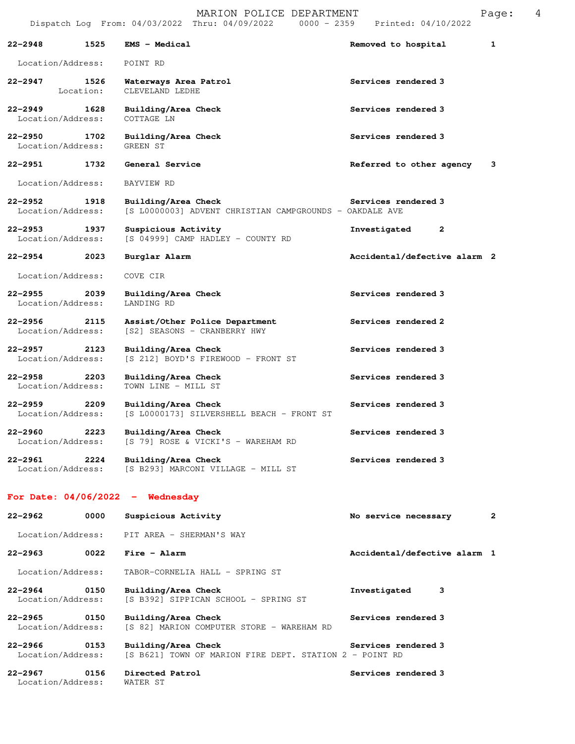|                                  |                   | MARION POLICE DEPARTMENT<br>Dispatch Log From: 04/03/2022 Thru: 04/09/2022 0000 - 2359 Printed: 04/10/2022 |                              | Page:        | 4 |
|----------------------------------|-------------------|------------------------------------------------------------------------------------------------------------|------------------------------|--------------|---|
| $22 - 2948$                      | 1525              | <b>EMS - Medical</b>                                                                                       | Removed to hospital          | 1            |   |
| Location/Address:                |                   | POINT RD                                                                                                   |                              |              |   |
| 22–2947                          | 1526<br>Location: | Waterways Area Patrol<br>CLEVELAND LEDHE                                                                   | Services rendered 3          |              |   |
| $22 - 2949$<br>Location/Address: | 1628              | Building/Area Check<br>COTTAGE LN                                                                          | Services rendered 3          |              |   |
| 22-2950<br>Location/Address:     | 1702              | Building/Area Check<br>GREEN ST                                                                            | Services rendered 3          |              |   |
| 22-2951                          | 1732              | General Service                                                                                            | Referred to other agency     | 3            |   |
| Location/Address:                |                   | BAYVIEW RD                                                                                                 |                              |              |   |
| $22 - 2952$<br>Location/Address: | 1918              | Building/Area Check<br>[S L0000003] ADVENT CHRISTIAN CAMPGROUNDS - OAKDALE AVE                             | Services rendered 3          |              |   |
| $22 - 2953$<br>Location/Address: | 1937              | Suspicious Activity<br>[S 04999] CAMP HADLEY - COUNTY RD                                                   | 2<br>Investigated            |              |   |
| $22 - 2954$                      | 2023              | Burglar Alarm                                                                                              | Accidental/defective alarm 2 |              |   |
| Location/Address:                |                   | COVE CIR                                                                                                   |                              |              |   |
| $22 - 2955$<br>Location/Address: | 2039              | Building/Area Check<br>LANDING RD                                                                          | Services rendered 3          |              |   |
| $22 - 2956$<br>Location/Address: | 2115              | Assist/Other Police Department<br>[S2] SEASONS - CRANBERRY HWY                                             | Services rendered 2          |              |   |
| 22–2957<br>Location/Address:     | 2123              | Building/Area Check<br>[S 212] BOYD'S FIREWOOD - FRONT ST                                                  | Services rendered 3          |              |   |
| $22 - 2958$<br>Location/Address: | 2203              | Building/Area Check<br>TOWN LINE - MILL ST                                                                 | Services rendered 3          |              |   |
| $22 - 2959$<br>Location/Address: | 2209              | Building/Area Check<br>[S L0000173] SILVERSHELL BEACH - FRONT ST                                           | Services rendered 3          |              |   |
| 22–2960<br>Location/Address:     | 2223              | Building/Area Check<br>[S 79] ROSE & VICKI'S - WAREHAM RD                                                  | Services rendered 3          |              |   |
| 22-2961<br>Location/Address:     | 2224              | Building/Area Check<br>[S B293] MARCONI VILLAGE - MILL ST                                                  | Services rendered 3          |              |   |
|                                  |                   | For Date: $04/06/2022 -$ Wednesday                                                                         |                              |              |   |
| 22-2962                          | 0000              | Suspicious Activity                                                                                        | No service necessary         | $\mathbf{2}$ |   |
| Location/Address:                |                   | PIT AREA - SHERMAN'S WAY                                                                                   |                              |              |   |
| $22 - 2963$                      | 0022              | Fire - Alarm                                                                                               | Accidental/defective alarm 1 |              |   |
| Location/Address:                |                   | TABOR-CORNELIA HALL - SPRING ST                                                                            |                              |              |   |
| 22-2964<br>Location/Address:     | 0150              | Building/Area Check<br>[S B392] SIPPICAN SCHOOL - SPRING ST                                                | Investigated<br>з            |              |   |

**22-2965 0150 Building/Area Check Services rendered 3**  Location/Address: [S 82] MARION COMPUTER STORE - WAREHAM RD

22-2966 0153 Building/Area Check Services rendered 3 Location/Address: [S B621] TOWN OF MARION FIRE DEPT. STATION 2 - POINT RD

**22-2967 0156 Directed Patrol Services rendered 3**  Location/Address: WATER ST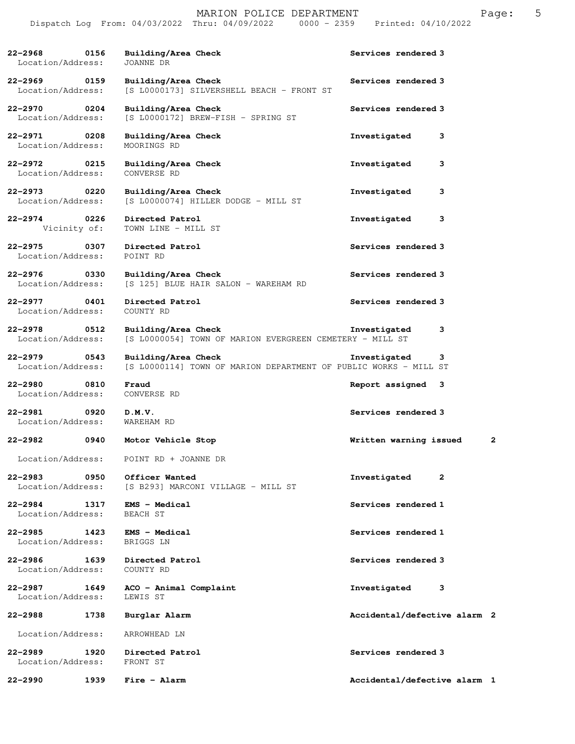**22-2968 0156 Building/Area Check Services rendered 3 Iocation/Address:** JOANNE DR Location/Address: **22-2969 0159 Building/Area Check Services rendered 3**  Location/Address: [S L0000173] SILVERSHELL BEACH - FRONT ST **22-2970 0204 Building/Area Check Services rendered 3** <br>Location/Address: [S L0000172] BREW-FISH - SPRING ST [S L0000172] BREW-FISH - SPRING ST **22-2971 0208 Building/Area Check Investigated 3**  Location/Address: MOORINGS RD **22-2972 0215 Building/Area Check Investigated 3**  Location/Address: CONVERSE RD **22-2973 0220 Building/Area Check Investigated 3**  [S L0000074] HILLER DODGE - MILL ST **22-2974 0226 Directed Patrol Investigated 3**  Vicinity of: TOWN LINE - MILL ST **22-2975 0307 Directed Patrol Services rendered 3**  Location/Address: POINT RD 22-2976 0330 Building/Area Check Services rendered 3 Location/Address: [S 125] BLUE HAIR SALON - WAREHAM RD [S 125] BLUE HAIR SALON - WAREHAM RD **22-2977 0401 Directed Patrol Services rendered 3**  Location/Address: **22-2978 0512 Building/Area Check Investigated 3**  Location/Address: [S L0000054] TOWN OF MARION EVERGREEN CEMETERY - MILL ST **22-2979 0543 Building/Area Check Investigated 3**  Location/Address: [S L0000114] TOWN OF MARION DEPARTMENT OF PUBLIC WORKS - MILL ST **22-2980 0810 Fraud Report assigned 3**  Location/Address: CONVERSE RD **22-2981 0920 D.M.V. Services rendered 3**  Location/Address: WAREHAM RD **22-2982 0940 Motor Vehicle Stop Written warning issued 2** Location/Address: POINT RD + JOANNE DR **22-2983 0950 Officer Wanted Investigated 2**  Location/Address: [S B293] MARCONI VILLAGE - MILL ST **22-2984 1317 EMS - Medical Services rendered 1**  Location/Address: BEACH ST **22-2985 1423 EMS - Medical Services rendered 1 Services rendered 1 I**ocation/Address: BRIGGS LN Location/Address: **22-2986 1639 Directed Patrol Services rendered 3**  Location/Address: COUNTY RD **22-2987 1649 ACO - Animal Complaint Investigated 3**  Location/Address: LEWIS ST **22-2988 1738 Burglar Alarm Accidental/defective alarm 2** Location/Address: ARROWHEAD LN **22-2989 1920 Directed Patrol Services rendered 3**  Location/Address: FRONT ST **22-2990 1939 Fire - Alarm Accidental/defective alarm 1**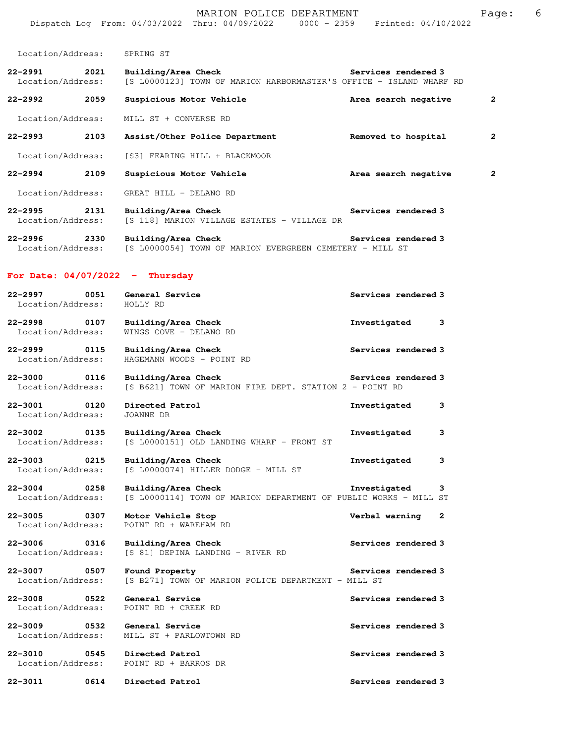|                                     |      | Dispatch Log From: 04/03/2022 Thru: 04/09/2022 0000 - 2359 Printed: 04/10/2022                                                   |                                |              |
|-------------------------------------|------|----------------------------------------------------------------------------------------------------------------------------------|--------------------------------|--------------|
| Location/Address: SPRING ST         |      |                                                                                                                                  |                                |              |
| 22-2991 2021                        |      | Building/Area Check Services rendered 3<br>Location/Address: [S L0000123] TOWN OF MARION HARBORMASTER'S OFFICE - ISLAND WHARF RD |                                |              |
|                                     | 2059 | <b>Suspicious Motor Vehicle</b>                                                                                                  | Area search negative           | $\mathbf{2}$ |
| Location/Address:                   |      | MILL ST + CONVERSE RD                                                                                                            |                                |              |
|                                     |      | 22-2993 2103 Assist/Other Police Department                                                                                      | Removed to hospital            | 2            |
| Location/Address:                   |      | [S3] FEARING HILL + BLACKMOOR                                                                                                    |                                |              |
|                                     |      | Suspicious Motor Vehicle                                                                                                         | Area search negative           | 2            |
| Location/Address:                   |      | GREAT HILL - DELANO RD                                                                                                           |                                |              |
| 22-2995 2131<br>Location/Address:   |      | Building/Area Check<br>[S 118] MARION VILLAGE ESTATES - VILLAGE DR                                                               | Services rendered 3            |              |
| 22-2996 2330                        |      | Building/Area Check<br>Location/Address: [S L0000054] TOWN OF MARION EVERGREEN CEMETERY - MILL ST                                | Services rendered 3            |              |
|                                     |      | For Date: $04/07/2022 -$ Thursday                                                                                                |                                |              |
| Location/Address:                   | 0051 | General Service<br>HOLLY RD                                                                                                      | Services rendered 3            |              |
| Location/Address:                   |      | 22-2998 0107 Building/Area Check<br>WINGS COVE - DELANO RD                                                                       | Investigated<br>3              |              |
| 22-2999 0115<br>Location/Address:   |      | Building/Area Check<br>HAGEMANN WOODS - POINT RD                                                                                 | Services rendered 3            |              |
| 22-3000<br>Location/Address:        | 0116 | Building/Area Check<br>[S B621] TOWN OF MARION FIRE DEPT. STATION 2 - POINT RD                                                   | Services rendered 3            |              |
| 22-3001 0120<br>Location/Address:   |      | Directed Patrol<br>JOANNE DR                                                                                                     | Investigated<br>3              |              |
| 22-3002                             | 0135 | Building/Area Check<br>Location/Address: [S L0000151] OLD LANDING WHARF - FRONT ST                                               | Investigated<br>3              |              |
| 22–3003<br>Location/Address:        | 0215 | Building/Area Check<br>[S L0000074] HILLER DODGE - MILL ST                                                                       | Investigated<br>3              |              |
| 22–3004<br>Location/Address:        | 0258 | Building/Area Check<br>[S L0000114] TOWN OF MARION DEPARTMENT OF PUBLIC WORKS - MILL ST                                          | Investigated<br>3              |              |
| 22-3005 0307<br>Location/Address:   |      | Motor Vehicle Stop<br>POINT RD + WAREHAM RD                                                                                      | Verbal warning<br>$\mathbf{2}$ |              |
| 22-3006<br>Location/Address:        | 0316 | Building/Area Check<br>[S 81] DEPINA LANDING - RIVER RD                                                                          | Services rendered 3            |              |
| 22-3007 0507<br>Location/Address:   |      | Found Property<br>[S B271] TOWN OF MARION POLICE DEPARTMENT - MILL ST                                                            | Services rendered 3            |              |
| 22-3008<br>Location/Address:        | 0522 | General Service<br>POINT RD + CREEK RD                                                                                           | Services rendered 3            |              |
| 22-3009 22-300<br>Location/Address: | 0532 | General Service<br>MILL ST + PARLOWTOWN RD                                                                                       | Services rendered 3            |              |
| 22-3010<br>Location/Address:        |      | 0545 Directed Patrol<br>POINT RD + BARROS DR                                                                                     | Services rendered 3            |              |
| 22-3011                             | 0614 | Directed Patrol                                                                                                                  | Services rendered 3            |              |

MARION POLICE DEPARTMENT FRIME Page: 6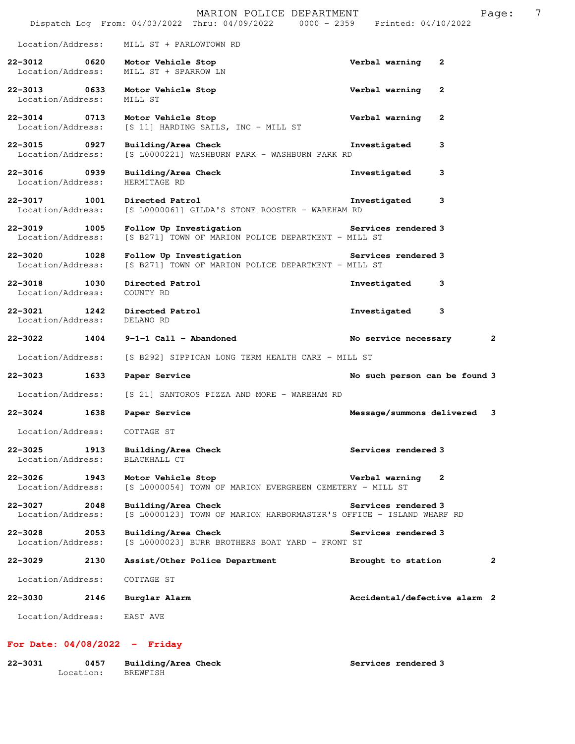|                                          |      | MARION POLICE DEPARTMENT<br>Dispatch Log From: 04/03/2022 Thru: 04/09/2022 0000 - 2359 Printed: 04/10/2022 |                               |              | Page:        | 7 |
|------------------------------------------|------|------------------------------------------------------------------------------------------------------------|-------------------------------|--------------|--------------|---|
| Location/Address:                        |      | MILL ST + PARLOWTOWN RD                                                                                    |                               |              |              |   |
| $22 - 3012$<br>Location/Address:         | 0620 | Motor Vehicle Stop<br>MILL ST + SPARROW LN                                                                 | Verbal warning                | 2            |              |   |
| 22-3013 0633<br>Location/Address:        |      | Motor Vehicle Stop<br>MILL ST                                                                              | Verbal warning                | $\mathbf{2}$ |              |   |
| $22 - 3014$<br>Location/Address:         | 0713 | Motor Vehicle Stop<br>[S 11] HARDING SAILS, INC - MILL ST                                                  | Verbal warning                | 2            |              |   |
| 22-3015 0927<br>Location/Address:        |      | Building/Area Check<br>[S L0000221] WASHBURN PARK - WASHBURN PARK RD                                       | Investigated                  | 3            |              |   |
| $22 - 3016$<br>Location/Address:         | 0939 | Building/Area Check<br>HERMITAGE RD                                                                        | Investigated                  | 3            |              |   |
| $22 - 3017$<br>Location/Address:         | 1001 | Directed Patrol<br>[S L0000061] GILDA'S STONE ROOSTER - WAREHAM RD                                         | Investigated                  | 3            |              |   |
| $22 - 3019$<br>Location/Address:         | 1005 | Follow Up Investigation<br>[S B271] TOWN OF MARION POLICE DEPARTMENT - MILL ST                             | Services rendered 3           |              |              |   |
| $22 - 3020$<br>Location/Address:         | 1028 | Follow Up Investigation<br>[S B271] TOWN OF MARION POLICE DEPARTMENT - MILL ST                             | Services rendered 3           |              |              |   |
| 1030<br>$22 - 3018$<br>Location/Address: |      | Directed Patrol<br>COUNTY RD                                                                               | Investigated                  | 3            |              |   |
| $22 - 3021$<br>1242<br>Location/Address: |      | Directed Patrol<br>DELANO RD                                                                               | Investigated                  | 3            |              |   |
| 22-3022 1404                             |      | 9-1-1 Call - Abandoned                                                                                     | No service necessary          |              | $\mathbf{2}$ |   |
| Location/Address:                        |      | [S B292] SIPPICAN LONG TERM HEALTH CARE - MILL ST                                                          |                               |              |              |   |
| 22-3023                                  | 1633 | Paper Service                                                                                              | No such person can be found 3 |              |              |   |
| Location/Address:                        |      | [S 21] SANTOROS PIZZA AND MORE - WAREHAM RD                                                                |                               |              |              |   |
| $22 - 3024$                              | 1638 | Paper Service                                                                                              | Message/summons delivered 3   |              |              |   |
| Location/Address:                        |      | COTTAGE ST                                                                                                 |                               |              |              |   |
| $22 - 3025$<br>Location/Address:         | 1913 | Building/Area Check<br>BLACKHALL CT                                                                        | Services rendered 3           |              |              |   |
| $22 - 3026$<br>Location/Address:         | 1943 | Motor Vehicle Stop<br>[S L0000054] TOWN OF MARION EVERGREEN CEMETERY - MILL ST                             | Verbal warning                | 2            |              |   |
| $22 - 3027$<br>Location/Address:         | 2048 | Building/Area Check<br>[S L0000123] TOWN OF MARION HARBORMASTER'S OFFICE - ISLAND WHARF RD                 | Services rendered 3           |              |              |   |
| $22 - 3028$<br>Location/Address:         | 2053 | Building/Area Check<br>[S L0000023] BURR BROTHERS BOAT YARD - FRONT ST                                     | Services rendered 3           |              |              |   |
| $22 - 3029$                              | 2130 | Assist/Other Police Department                                                                             | Brought to station            |              | $\mathbf{2}$ |   |
| Location/Address:                        |      | COTTAGE ST                                                                                                 |                               |              |              |   |
| $22 - 3030$                              | 2146 | Burglar Alarm                                                                                              | Accidental/defective alarm 2  |              |              |   |
| Location/Address:                        |      | EAST AVE                                                                                                   |                               |              |              |   |

## **For Date: 04/08/2022 - Friday**

| 22-3031 | 0457      | Building/Area Check | Services rendered 3 |
|---------|-----------|---------------------|---------------------|
|         | Location: | BREWFISH            |                     |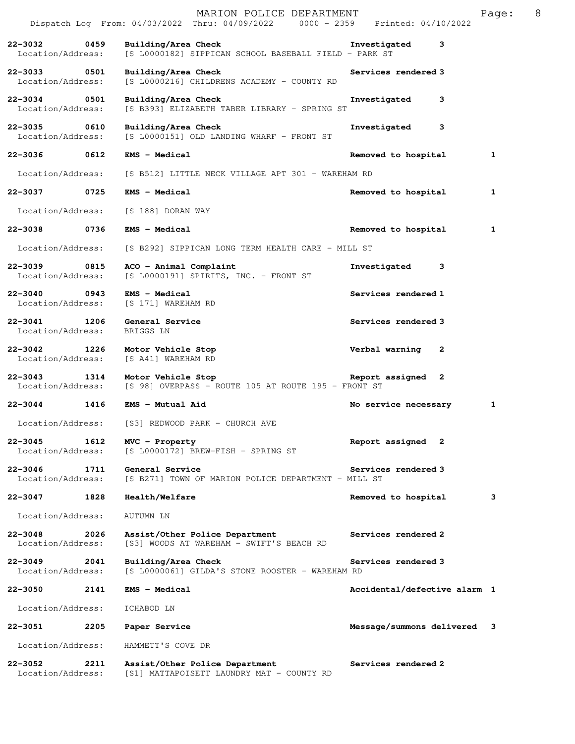|                                      |      | MARION POLICE DEPARTMENT<br>Dispatch Log From: 04/03/2022 Thru: 04/09/2022 0000 - 2359 Printed: 04/10/2022            |                              | Page: | 8 |
|--------------------------------------|------|-----------------------------------------------------------------------------------------------------------------------|------------------------------|-------|---|
| 22-3032 0459<br>Location/Address:    |      | Building/Area Check <b>Example 2</b> Investigated 3<br>[S L0000182] SIPPICAN SCHOOL BASEBALL FIELD - PARK ST          |                              |       |   |
| 22-3033 0501<br>Location/Address:    |      | Building/Area Check<br>[S L0000216] CHILDRENS ACADEMY - COUNTY RD                                                     | Services rendered 3          |       |   |
| 22-3034 0501<br>Location/Address:    |      | Building/Area Check<br>[S B393] ELIZABETH TABER LIBRARY - SPRING ST                                                   | Investigated<br>3            |       |   |
| 0610<br>22-3035<br>Location/Address: |      | Building/Area Check<br>[S L0000151] OLD LANDING WHARF - FRONT ST                                                      | Investigated<br>3            |       |   |
| 22-3036                              | 0612 | <b>EMS - Medical</b>                                                                                                  | Removed to hospital          | 1     |   |
| Location/Address:                    |      | [S B512] LITTLE NECK VILLAGE APT 301 - WAREHAM RD                                                                     |                              |       |   |
|                                      |      | 22-3037 0725 EMS - Medical                                                                                            | Removed to hospital          | 1     |   |
| Location/Address:                    |      | [S 188] DORAN WAY                                                                                                     |                              |       |   |
| 22-3038                              |      | 0736 EMS - Medical                                                                                                    | Removed to hospital          | 1     |   |
| Location/Address:                    |      | [S B292] SIPPICAN LONG TERM HEALTH CARE - MILL ST                                                                     |                              |       |   |
| 22-3039 0815<br>Location/Address:    |      | ACO - Animal Complaint<br>[S L0000191] SPIRITS, INC. - FRONT ST                                                       | Investigated 3               |       |   |
| 22-3040 0943<br>Location/Address:    |      | <b>EMS - Medical</b><br>[S 171] WAREHAM RD                                                                            | Services rendered 1          |       |   |
| Location/Address:                    |      | 22-3041 1206 General Service<br>BRIGGS LN                                                                             | Services rendered 3          |       |   |
| Location/Address:                    |      | 22-3042 1226 Motor Vehicle Stop<br>[S A41] WAREHAM RD                                                                 | Verbal warning<br>2          |       |   |
| $22 - 3043$                          |      | Report assigned 2<br>1314 Motor Vehicle Stop<br>Location/Address: [S 98] OVERPASS - ROUTE 105 AT ROUTE 195 - FRONT ST |                              |       |   |
|                                      |      | 22-3044 1416 EMS - Mutual Aid                                                                                         | No service necessary         | 1     |   |
| Location/Address:                    |      | [S3] REDWOOD PARK - CHURCH AVE                                                                                        |                              |       |   |
| $22 - 3045$<br>Location/Address:     | 1612 | MVC - Property<br>[S L0000172] BREW-FISH - SPRING ST                                                                  | Report assigned 2            |       |   |
| 22-3046<br>Location/Address:         | 1711 | General Service<br>[S B271] TOWN OF MARION POLICE DEPARTMENT - MILL ST                                                | Services rendered 3          |       |   |
| 22-3047                              | 1828 | Health/Welfare                                                                                                        | Removed to hospital          | 3     |   |
| Location/Address:                    |      | AUTUMN LN                                                                                                             |                              |       |   |
| $22 - 3048$<br>Location/Address:     | 2026 | Assist/Other Police Department<br>[S3] WOODS AT WAREHAM - SWIFT'S BEACH RD                                            | Services rendered 2          |       |   |
| $22 - 3049$<br>Location/Address:     | 2041 | Building/Area Check<br>[S L0000061] GILDA'S STONE ROOSTER - WAREHAM RD                                                | Services rendered 3          |       |   |
| $22 - 3050$                          | 2141 | <b>EMS - Medical</b>                                                                                                  | Accidental/defective alarm 1 |       |   |
| Location/Address:                    |      | ICHABOD LN                                                                                                            |                              |       |   |
| 22-3051                              | 2205 | Paper Service                                                                                                         | Message/summons delivered 3  |       |   |
| Location/Address:                    |      | HAMMETT'S COVE DR                                                                                                     |                              |       |   |
| $22 - 3052$<br>Location/Address:     | 2211 | Assist/Other Police Department<br>[S1] MATTAPOISETT LAUNDRY MAT - COUNTY RD                                           | Services rendered 2          |       |   |